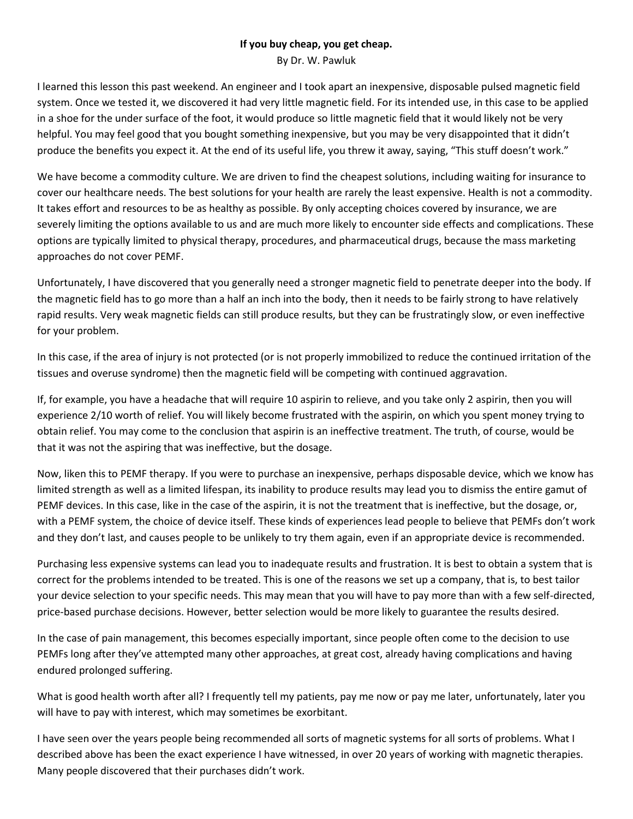## **If you buy cheap, you get cheap.**

By Dr. W. Pawluk

I learned this lesson this past weekend. An engineer and I took apart an inexpensive, disposable pulsed magnetic field system. Once we tested it, we discovered it had very little magnetic field. For its intended use, in this case to be applied in a shoe for the under surface of the foot, it would produce so little magnetic field that it would likely not be very helpful. You may feel good that you bought something inexpensive, but you may be very disappointed that it didn't produce the benefits you expect it. At the end of its useful life, you threw it away, saying, "This stuff doesn't work."

We have become a commodity culture. We are driven to find the cheapest solutions, including waiting for insurance to cover our healthcare needs. The best solutions for your health are rarely the least expensive. Health is not a commodity. It takes effort and resources to be as healthy as possible. By only accepting choices covered by insurance, we are severely limiting the options available to us and are much more likely to encounter side effects and complications. These options are typically limited to physical therapy, procedures, and pharmaceutical drugs, because the mass marketing approaches do not cover PEMF.

Unfortunately, I have discovered that you generally need a stronger magnetic field to penetrate deeper into the body. If the magnetic field has to go more than a half an inch into the body, then it needs to be fairly strong to have relatively rapid results. Very weak magnetic fields can still produce results, but they can be frustratingly slow, or even ineffective for your problem.

In this case, if the area of injury is not protected (or is not properly immobilized to reduce the continued irritation of the tissues and overuse syndrome) then the magnetic field will be competing with continued aggravation.

If, for example, you have a headache that will require 10 aspirin to relieve, and you take only 2 aspirin, then you will experience 2/10 worth of relief. You will likely become frustrated with the aspirin, on which you spent money trying to obtain relief. You may come to the conclusion that aspirin is an ineffective treatment. The truth, of course, would be that it was not the aspiring that was ineffective, but the dosage.

Now, liken this to PEMF therapy. If you were to purchase an inexpensive, perhaps disposable device, which we know has limited strength as well as a limited lifespan, its inability to produce results may lead you to dismiss the entire gamut of PEMF devices. In this case, like in the case of the aspirin, it is not the treatment that is ineffective, but the dosage, or, with a PEMF system, the choice of device itself. These kinds of experiences lead people to believe that PEMFs don't work and they don't last, and causes people to be unlikely to try them again, even if an appropriate device is recommended.

Purchasing less expensive systems can lead you to inadequate results and frustration. It is best to obtain a system that is correct for the problems intended to be treated. This is one of the reasons we set up a company, that is, to best tailor your device selection to your specific needs. This may mean that you will have to pay more than with a few self-directed, price-based purchase decisions. However, better selection would be more likely to guarantee the results desired.

In the case of pain management, this becomes especially important, since people often come to the decision to use PEMFs long after they've attempted many other approaches, at great cost, already having complications and having endured prolonged suffering.

What is good health worth after all? I frequently tell my patients, pay me now or pay me later, unfortunately, later you will have to pay with interest, which may sometimes be exorbitant.

I have seen over the years people being recommended all sorts of magnetic systems for all sorts of problems. What I described above has been the exact experience I have witnessed, in over 20 years of working with magnetic therapies. Many people discovered that their purchases didn't work.